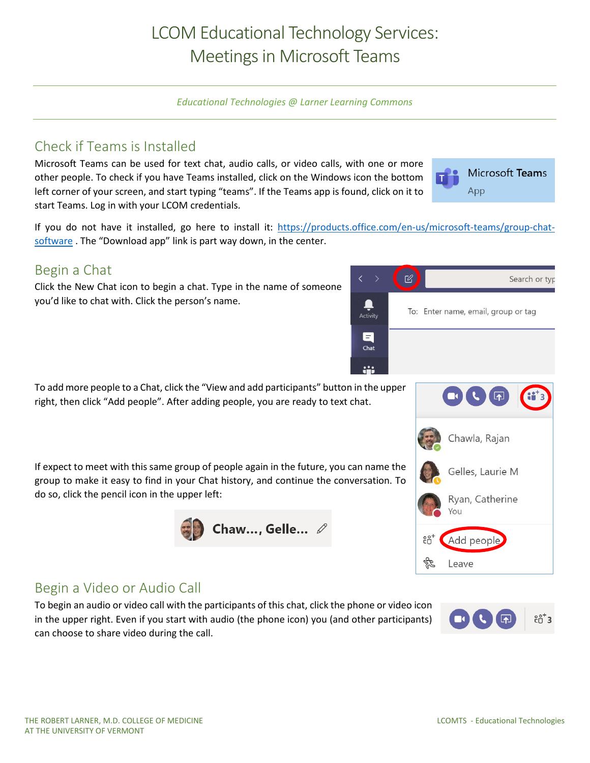# LCOM Educational Technology Services: Meetings in Microsoft Teams

*Educational Technologies @ Larner Learning Commons*

#### Check if Teams is Installed

Microsoft Teams can be used for text chat, audio calls, or video calls, with one or more other people. To check if you have Teams installed, click on the Windows icon the bottom left corner of your screen, and start typing "teams". If the Teams app is found, click on it to start Teams. Log in with your LCOM credentials.

Microsoft Teams App

If you do not have it installed, go here to install it: [https://products.office.com/en-us/microsoft-teams/group-chat](https://products.office.com/en-us/microsoft-teams/group-chat-software)[software](https://products.office.com/en-us/microsoft-teams/group-chat-software). The "Download app" link is part way down, in the center.

#### Begin a Chat

Click the New Chat icon to begin a chat. Type in the name of someone you'd like to chat with. Click the person's name.



If expect to meet with this same group of people again in the future, you can name the group to make it easy to find in your Chat history, and continue the conversation. To do so, click the pencil icon in the upper left:





## Begin a Video or Audio Call

To begin an audio or video call with the participants of this chat, click the phone or video icon in the upper right. Even if you start with audio (the phone icon) you (and other participants) can choose to share video during the call.

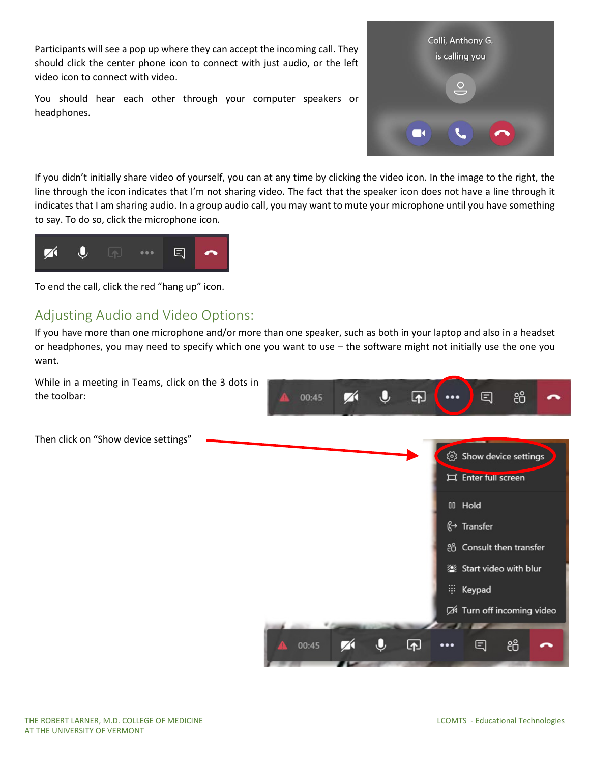Participants will see a pop up where they can accept the incoming call. They should click the center phone icon to connect with just audio, or the left video icon to connect with video.

You should hear each other through your computer speakers or headphones.



If you didn't initially share video of yourself, you can at any time by clicking the video icon. In the image to the right, the line through the icon indicates that I'm not sharing video. The fact that the speaker icon does not have a line through it indicates that I am sharing audio. In a group audio call, you may want to mute your microphone until you have something to say. To do so, click the microphone icon.



To end the call, click the red "hang up" icon.

## Adjusting Audio and Video Options:

If you have more than one microphone and/or more than one speaker, such as both in your laptop and also in a headset or headphones, you may need to specify which one you want to use – the software might not initially use the one you want.

While in a meeting in Teams, click on the 3 dots in දීරි the toolbar: 00:45 Z  $\lbrack \Uparrow \rbrack$ 曰 Then click on "Show device settings"(2) Show device settings Enter full screen 00 Hold  $\stackrel{a}{\longleftrightarrow}$  Transfer eg Consult then transfer Start video with blur :: Keypad A Turn off incoming video 囨 සී 00:45 ⊟